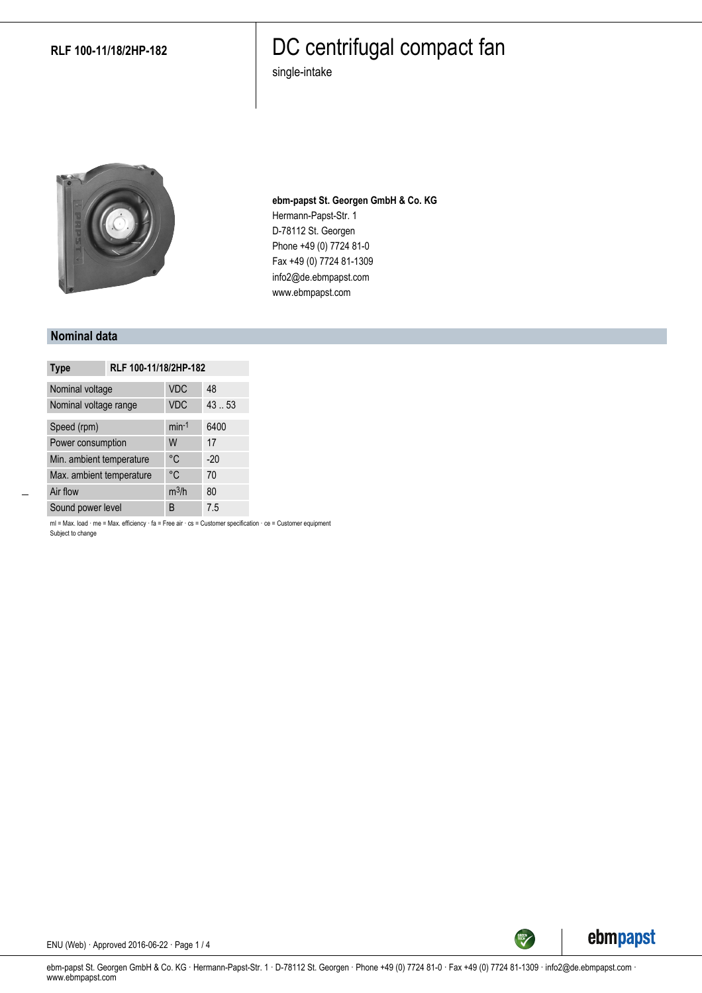#### **RLF 100-11/18/2HP-182**

## DC centrifugal compact fan

single-intake



**ebm-papst St. Georgen GmbH & Co. KG** Hermann-Papst-Str. 1 D-78112 St. Georgen Phone +49 (0) 7724 81-0 Fax +49 (0) 7724 81-1309 info2@de.ebmpapst.com www.ebmpapst.com

#### **Nominal data**

| <b>Type</b>              | RLF 100-11/18/2HP-182 |            |       |
|--------------------------|-----------------------|------------|-------|
| Nominal voltage          |                       | <b>VDC</b> | 48    |
| Nominal voltage range    |                       | <b>VDC</b> | 43.53 |
| Speed (rpm)              |                       | $min-1$    | 6400  |
| Power consumption        |                       | W          | 17    |
| Min. ambient temperature |                       | °C         | $-20$ |
| Max. ambient temperature |                       | °C         | 70    |
| Air flow                 |                       | $m^3/h$    | 80    |
| Sound power level        |                       | B          | 7.5   |

ml = Max. load · me = Max. efficiency · fa = Free air · cs = Customer specification · ce = Customer equipment Subject to change



ENU (Web) · Approved 2016-06-22 · Page 1 / 4

ebm-papst St. Georgen GmbH & Co. KG · Hermann-Papst-Str. 1 · D-78112 St. Georgen · Phone +49 (0) 7724 81-0 · Fax +49 (0) 7724 81-1309 · info2@de.ebmpapst.com · www.ebmpapst.com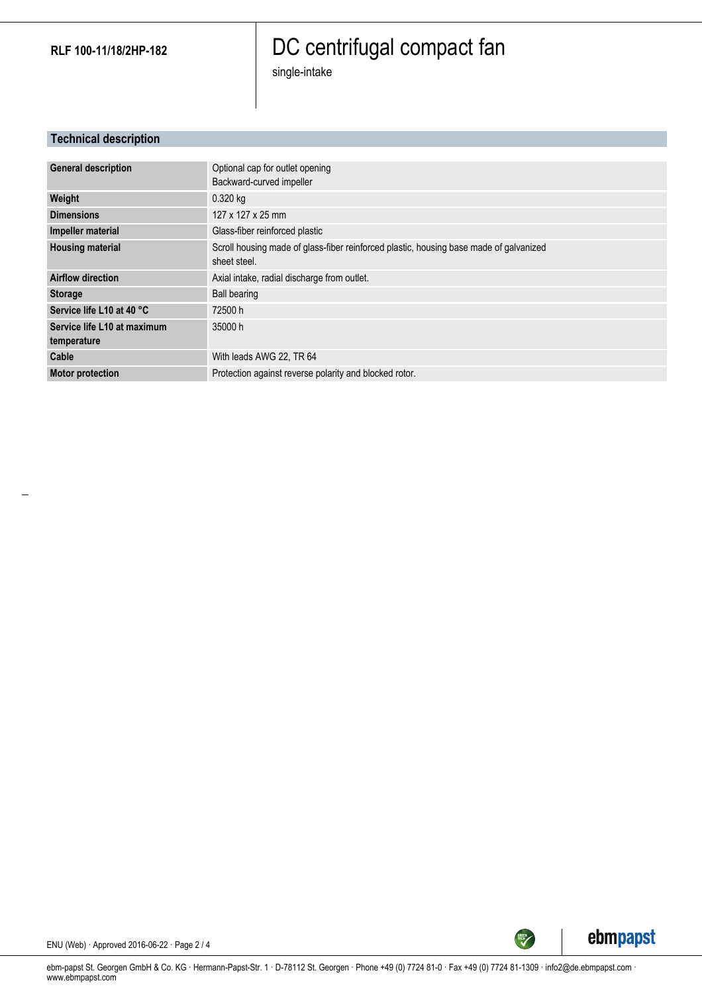**RLF 100-11/18/2HP-182**

# DC centrifugal compact fan

single-intake

#### **Technical description**

| <b>General description</b>  | Optional cap for outlet opening                                                        |
|-----------------------------|----------------------------------------------------------------------------------------|
|                             | Backward-curved impeller                                                               |
| Weight                      | $0.320$ kg                                                                             |
| <b>Dimensions</b>           | 127 x 127 x 25 mm                                                                      |
| Impeller material           | Glass-fiber reinforced plastic                                                         |
| <b>Housing material</b>     | Scroll housing made of glass-fiber reinforced plastic, housing base made of galvanized |
|                             | sheet steel.                                                                           |
| <b>Airflow direction</b>    | Axial intake, radial discharge from outlet.                                            |
| <b>Storage</b>              | <b>Ball bearing</b>                                                                    |
| Service life L10 at 40 °C   | 72500 h                                                                                |
| Service life L10 at maximum | 35000 h                                                                                |
| temperature                 |                                                                                        |
| Cable                       | With leads AWG 22, TR 64                                                               |
| <b>Motor protection</b>     | Protection against reverse polarity and blocked rotor.                                 |



ENU (Web) · Approved 2016-06-22 · Page 2 / 4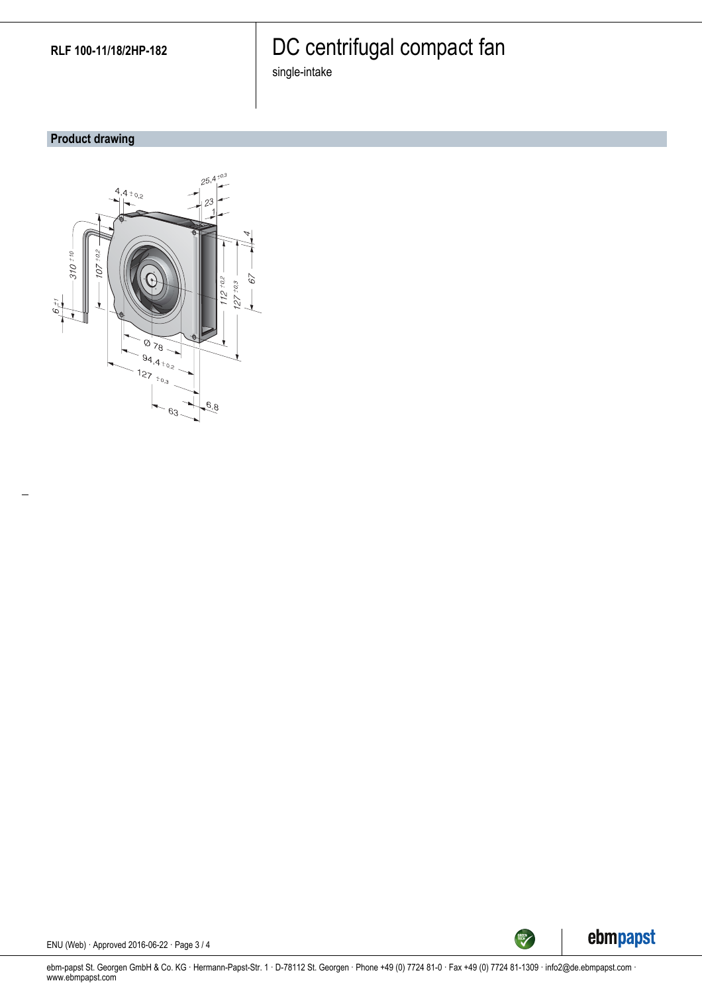# DC centrifugal compact fan

single-intake

## **Product drawing**





ENU (Web) · Approved 2016-06-22 · Page 3 / 4